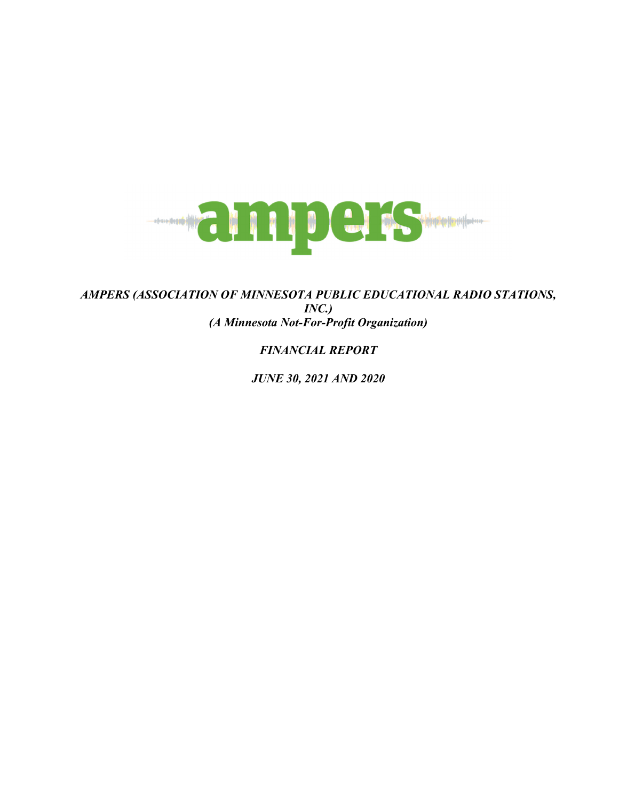

## *AMPERS (ASSOCIATION OF MINNESOTA PUBLIC EDUCATIONAL RADIO STATIONS, INC.) (A Minnesota Not-For-Profit Organization)*

# *FINANCIAL REPORT*

*JUNE 30, 2021 AND 2020*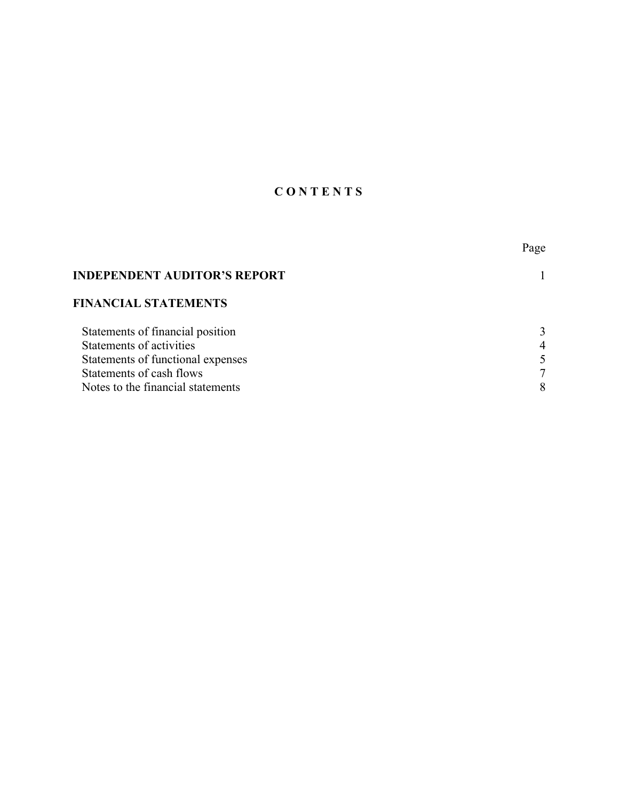# **C O N T E N T S**

|                                     | Page |
|-------------------------------------|------|
| <b>INDEPENDENT AUDITOR'S REPORT</b> |      |
| <b>FINANCIAL STATEMENTS</b>         |      |
| Statements of financial position    | 3    |
| Statements of activities            | 4    |
| Statements of functional expenses   | 5    |
| Statements of cash flows            |      |
| Notes to the financial statements   | 8    |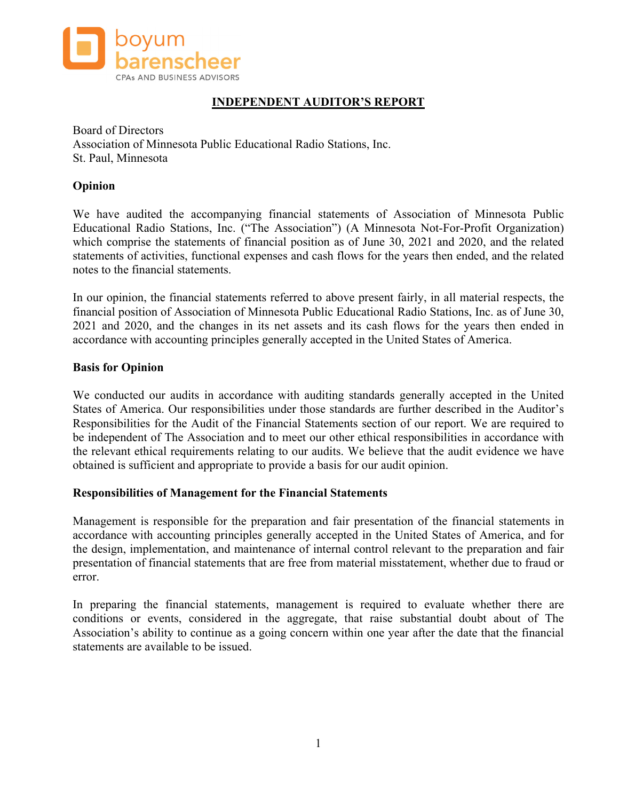

## **INDEPENDENT AUDITOR'S REPORT**

Board of Directors Association of Minnesota Public Educational Radio Stations, Inc. St. Paul, Minnesota

## **Opinion**

We have audited the accompanying financial statements of Association of Minnesota Public Educational Radio Stations, Inc. ("The Association") (A Minnesota Not-For-Profit Organization) which comprise the statements of financial position as of June 30, 2021 and 2020, and the related statements of activities, functional expenses and cash flows for the years then ended, and the related notes to the financial statements.

In our opinion, the financial statements referred to above present fairly, in all material respects, the financial position of Association of Minnesota Public Educational Radio Stations, Inc. as of June 30, 2021 and 2020, and the changes in its net assets and its cash flows for the years then ended in accordance with accounting principles generally accepted in the United States of America.

## **Basis for Opinion**

We conducted our audits in accordance with auditing standards generally accepted in the United States of America. Our responsibilities under those standards are further described in the Auditor's Responsibilities for the Audit of the Financial Statements section of our report. We are required to be independent of The Association and to meet our other ethical responsibilities in accordance with the relevant ethical requirements relating to our audits. We believe that the audit evidence we have obtained is sufficient and appropriate to provide a basis for our audit opinion.

## **Responsibilities of Management for the Financial Statements**

Management is responsible for the preparation and fair presentation of the financial statements in accordance with accounting principles generally accepted in the United States of America, and for the design, implementation, and maintenance of internal control relevant to the preparation and fair presentation of financial statements that are free from material misstatement, whether due to fraud or error.

In preparing the financial statements, management is required to evaluate whether there are conditions or events, considered in the aggregate, that raise substantial doubt about of The Association's ability to continue as a going concern within one year after the date that the financial statements are available to be issued.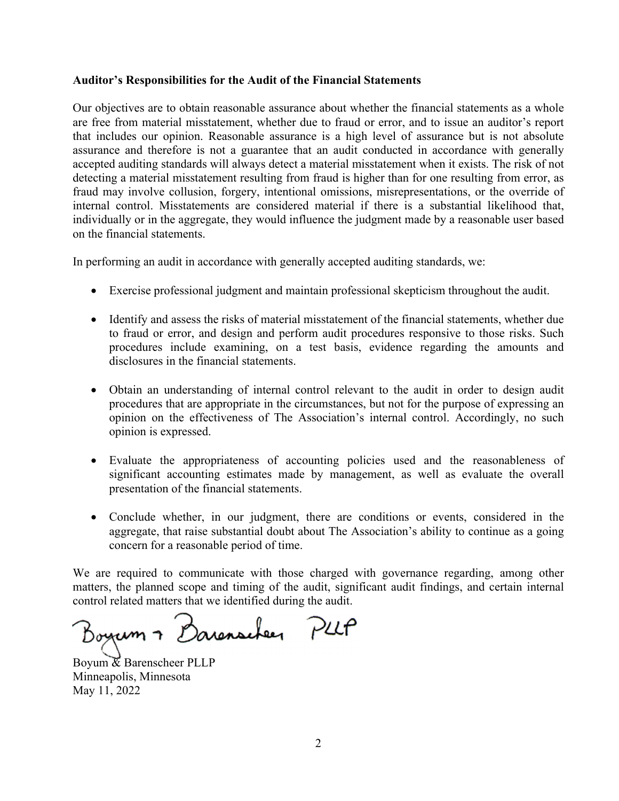## **Auditor's Responsibilities for the Audit of the Financial Statements**

Our objectives are to obtain reasonable assurance about whether the financial statements as a whole are free from material misstatement, whether due to fraud or error, and to issue an auditor's report that includes our opinion. Reasonable assurance is a high level of assurance but is not absolute assurance and therefore is not a guarantee that an audit conducted in accordance with generally accepted auditing standards will always detect a material misstatement when it exists. The risk of not detecting a material misstatement resulting from fraud is higher than for one resulting from error, as fraud may involve collusion, forgery, intentional omissions, misrepresentations, or the override of internal control. Misstatements are considered material if there is a substantial likelihood that, individually or in the aggregate, they would influence the judgment made by a reasonable user based on the financial statements.

In performing an audit in accordance with generally accepted auditing standards, we:

- Exercise professional judgment and maintain professional skepticism throughout the audit.
- Identify and assess the risks of material misstatement of the financial statements, whether due to fraud or error, and design and perform audit procedures responsive to those risks. Such procedures include examining, on a test basis, evidence regarding the amounts and disclosures in the financial statements.
- Obtain an understanding of internal control relevant to the audit in order to design audit procedures that are appropriate in the circumstances, but not for the purpose of expressing an opinion on the effectiveness of The Association's internal control. Accordingly, no such opinion is expressed.
- Evaluate the appropriateness of accounting policies used and the reasonableness of significant accounting estimates made by management, as well as evaluate the overall presentation of the financial statements.
- Conclude whether, in our judgment, there are conditions or events, considered in the aggregate, that raise substantial doubt about The Association's ability to continue as a going concern for a reasonable period of time.

We are required to communicate with those charged with governance regarding, among other matters, the planned scope and timing of the audit, significant audit findings, and certain internal control related matters that we identified during the audit.

Boyum + Barenscheer PLLP

Boyum & Barenscheer PLLP Minneapolis, Minnesota May 11, 2022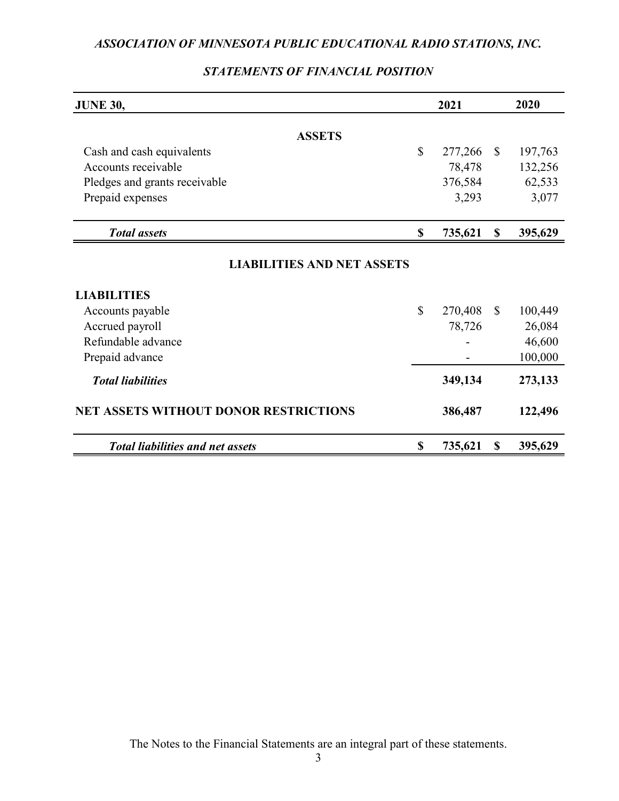| <b>JUNE 30,</b>                              |              | 2021    |              | 2020    |  |  |  |  |  |  |
|----------------------------------------------|--------------|---------|--------------|---------|--|--|--|--|--|--|
| <b>ASSETS</b>                                |              |         |              |         |  |  |  |  |  |  |
| Cash and cash equivalents                    | $\mathbb{S}$ | 277,266 | $\mathbb{S}$ | 197,763 |  |  |  |  |  |  |
| Accounts receivable                          |              | 78,478  |              | 132,256 |  |  |  |  |  |  |
| Pledges and grants receivable                |              | 376,584 |              | 62,533  |  |  |  |  |  |  |
| Prepaid expenses                             |              | 3,293   |              | 3,077   |  |  |  |  |  |  |
| <b>Total</b> assets                          | \$           | 735,621 | \$           | 395,629 |  |  |  |  |  |  |
| <b>LIABILITIES AND NET ASSETS</b>            |              |         |              |         |  |  |  |  |  |  |
| <b>LIABILITIES</b>                           |              |         |              |         |  |  |  |  |  |  |
| Accounts payable                             | $\mathbb{S}$ | 270,408 | <sup>S</sup> | 100,449 |  |  |  |  |  |  |
| Accrued payroll                              |              | 78,726  |              | 26,084  |  |  |  |  |  |  |
| Refundable advance                           |              |         |              | 46,600  |  |  |  |  |  |  |
| Prepaid advance                              |              |         |              | 100,000 |  |  |  |  |  |  |
| <b>Total liabilities</b>                     |              | 349,134 |              | 273,133 |  |  |  |  |  |  |
| <b>NET ASSETS WITHOUT DONOR RESTRICTIONS</b> |              | 386,487 |              | 122,496 |  |  |  |  |  |  |
| <b>Total liabilities and net assets</b>      | \$           | 735,621 | \$           | 395,629 |  |  |  |  |  |  |

## *STATEMENTS OF FINANCIAL POSITION*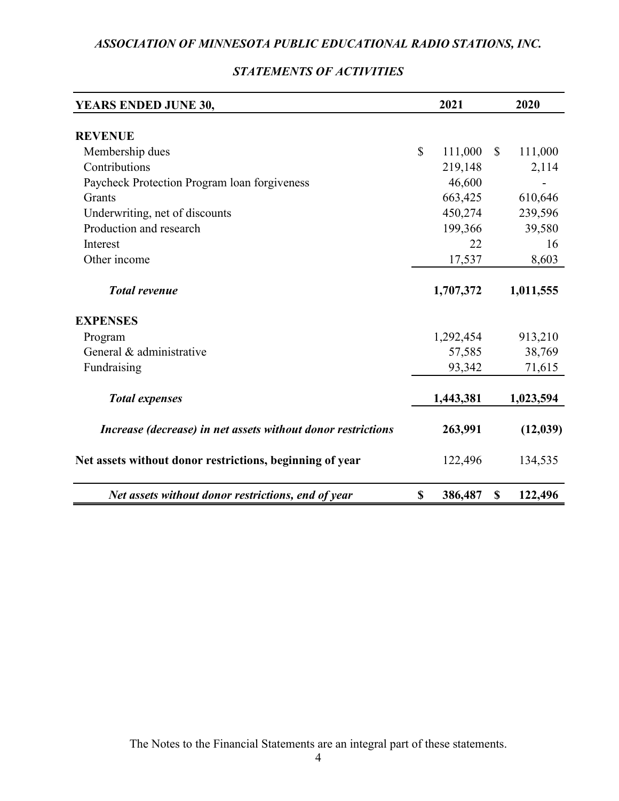| <b>YEARS ENDED JUNE 30,</b>                                  |              | 2021      |               | 2020      |
|--------------------------------------------------------------|--------------|-----------|---------------|-----------|
| <b>REVENUE</b>                                               |              |           |               |           |
| Membership dues                                              | $\mathbb{S}$ | 111,000   | <sup>\$</sup> | 111,000   |
| Contributions                                                |              | 219,148   |               | 2,114     |
| Paycheck Protection Program loan forgiveness                 |              | 46,600    |               |           |
| Grants                                                       |              | 663,425   |               | 610,646   |
| Underwriting, net of discounts                               |              | 450,274   |               | 239,596   |
| Production and research                                      |              | 199,366   |               | 39,580    |
| Interest                                                     |              | 22        |               | 16        |
| Other income                                                 |              | 17,537    |               | 8,603     |
| <b>Total revenue</b>                                         |              | 1,707,372 |               | 1,011,555 |
| <b>EXPENSES</b>                                              |              |           |               |           |
| Program                                                      |              | 1,292,454 |               | 913,210   |
| General & administrative                                     |              | 57,585    |               | 38,769    |
| Fundraising                                                  |              | 93,342    |               | 71,615    |
| <b>Total expenses</b>                                        |              | 1,443,381 |               | 1,023,594 |
| Increase (decrease) in net assets without donor restrictions |              | 263,991   |               | (12, 039) |
| Net assets without donor restrictions, beginning of year     |              | 122,496   |               | 134,535   |
| Net assets without donor restrictions, end of year           | $\mathbf S$  | 386,487   | $\mathbf S$   | 122,496   |

## *STATEMENTS OF ACTIVITIES*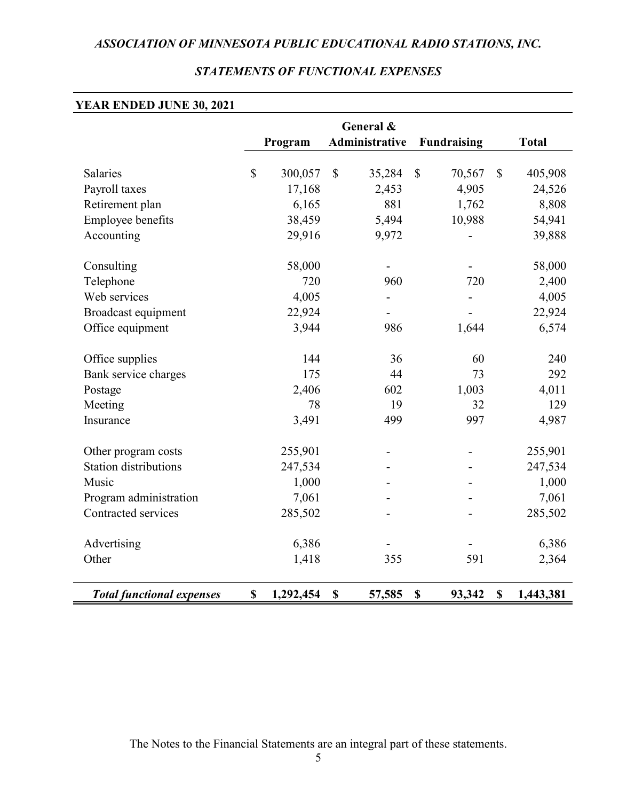| YEAR ENDED JUNE 30, 2021         |              |           |              |                          |               |                    |                   |              |
|----------------------------------|--------------|-----------|--------------|--------------------------|---------------|--------------------|-------------------|--------------|
|                                  |              |           |              | General &                |               |                    |                   |              |
|                                  |              | Program   |              | Administrative           |               | <b>Fundraising</b> |                   | <b>Total</b> |
| Salaries                         | $\mathbb{S}$ | 300,057   | $\mathbb{S}$ | 35,284                   | $\mathcal{S}$ | 70,567             | $\mathcal{S}$     | 405,908      |
| Payroll taxes                    |              | 17,168    |              | 2,453                    |               | 4,905              |                   | 24,526       |
| Retirement plan                  |              | 6,165     |              | 881                      |               | 1,762              |                   | 8,808        |
| Employee benefits                |              | 38,459    |              | 5,494                    |               | 10,988             |                   | 54,941       |
| Accounting                       |              | 29,916    |              | 9,972                    |               |                    |                   | 39,888       |
| Consulting                       |              | 58,000    |              |                          |               |                    |                   | 58,000       |
| Telephone                        |              | 720       |              | 960                      |               | 720                |                   | 2,400        |
| Web services                     |              | 4,005     |              |                          |               |                    |                   | 4,005        |
| Broadcast equipment              |              | 22,924    |              | $\overline{\phantom{a}}$ |               |                    |                   | 22,924       |
| Office equipment                 |              | 3,944     |              | 986                      |               | 1,644              |                   | 6,574        |
| Office supplies                  |              | 144       |              | 36                       |               | 60                 |                   | 240          |
| Bank service charges             |              | 175       |              | 44                       |               | 73                 |                   | 292          |
| Postage                          |              | 2,406     |              | 602                      |               | 1,003              |                   | 4,011        |
| Meeting                          |              | 78        |              | 19                       |               | 32                 |                   | 129          |
| Insurance                        |              | 3,491     |              | 499                      |               | 997                |                   | 4,987        |
| Other program costs              |              | 255,901   |              |                          |               |                    |                   | 255,901      |
| <b>Station distributions</b>     |              | 247,534   |              |                          |               |                    |                   | 247,534      |
| Music                            |              | 1,000     |              |                          |               |                    |                   | 1,000        |
| Program administration           |              | 7,061     |              |                          |               |                    |                   | 7,061        |
| Contracted services              |              | 285,502   |              |                          |               |                    |                   | 285,502      |
| Advertising                      |              | 6,386     |              |                          |               |                    |                   | 6,386        |
| Other                            |              | 1,418     |              | 355                      |               | 591                |                   | 2,364        |
| <b>Total functional expenses</b> | \$           | 1,292,454 | \$           | 57,585                   | \$            | 93,342             | $\boldsymbol{\$}$ | 1,443,381    |

## *STATEMENTS OF FUNCTIONAL EXPENSES*

The Notes to the Financial Statements are an integral part of these statements.

5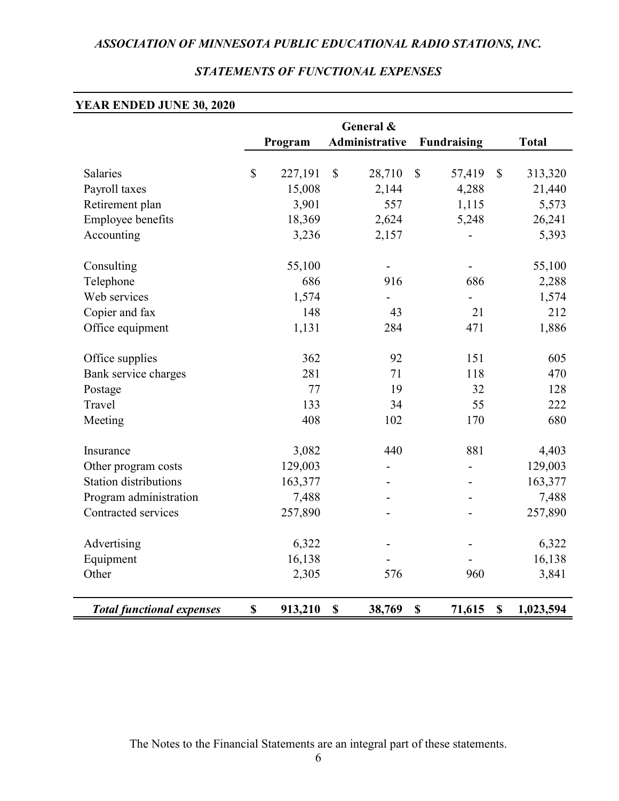| YEAR ENDED JUNE 30, 2020         |              |         |                           |                |                           |                    |                           |              |
|----------------------------------|--------------|---------|---------------------------|----------------|---------------------------|--------------------|---------------------------|--------------|
|                                  |              |         |                           | General &      |                           |                    |                           |              |
|                                  |              | Program |                           | Administrative |                           | <b>Fundraising</b> |                           | <b>Total</b> |
| Salaries                         | $\mathbb{S}$ | 227,191 | $\mathbb{S}$              | 28,710         | $\mathbb{S}$              | 57,419             | $\mathbb{S}$              | 313,320      |
| Payroll taxes                    |              | 15,008  |                           | 2,144          |                           | 4,288              |                           | 21,440       |
|                                  |              | 3,901   |                           | 557            |                           |                    |                           | 5,573        |
| Retirement plan                  |              |         |                           |                |                           | 1,115              |                           |              |
| <b>Employee benefits</b>         |              | 18,369  |                           | 2,624          |                           | 5,248              |                           | 26,241       |
| Accounting                       |              | 3,236   |                           | 2,157          |                           |                    |                           | 5,393        |
| Consulting                       |              | 55,100  |                           |                |                           |                    |                           | 55,100       |
| Telephone                        |              | 686     |                           | 916            |                           | 686                |                           | 2,288        |
| Web services                     |              | 1,574   |                           |                |                           |                    |                           | 1,574        |
| Copier and fax                   |              | 148     |                           | 43             |                           | 21                 |                           | 212          |
| Office equipment                 |              | 1,131   |                           | 284            |                           | 471                |                           | 1,886        |
| Office supplies                  |              | 362     |                           | 92             |                           | 151                |                           | 605          |
| Bank service charges             |              | 281     |                           | 71             |                           | 118                |                           | 470          |
| Postage                          |              | 77      |                           | 19             |                           | 32                 |                           | 128          |
| Travel                           |              | 133     |                           | 34             |                           | 55                 |                           | 222          |
| Meeting                          |              | 408     |                           | 102            |                           | 170                |                           | 680          |
| Insurance                        |              | 3,082   |                           | 440            |                           | 881                |                           | 4,403        |
| Other program costs              |              | 129,003 |                           |                |                           | $\overline{a}$     |                           | 129,003      |
| <b>Station distributions</b>     |              | 163,377 |                           |                |                           |                    |                           | 163,377      |
| Program administration           |              | 7,488   |                           |                |                           |                    |                           | 7,488        |
| Contracted services              |              | 257,890 |                           |                |                           |                    |                           | 257,890      |
| Advertising                      |              | 6,322   |                           |                |                           |                    |                           | 6,322        |
| Equipment                        |              | 16,138  |                           |                |                           |                    |                           | 16,138       |
| Other                            |              | 2,305   |                           | 576            |                           | 960                |                           | 3,841        |
| <b>Total functional expenses</b> | \$           | 913,210 | $\boldsymbol{\mathsf{S}}$ | 38,769         | $\boldsymbol{\mathsf{S}}$ | 71,615             | $\boldsymbol{\mathsf{S}}$ | 1,023,594    |

## *STATEMENTS OF FUNCTIONAL EXPENSES*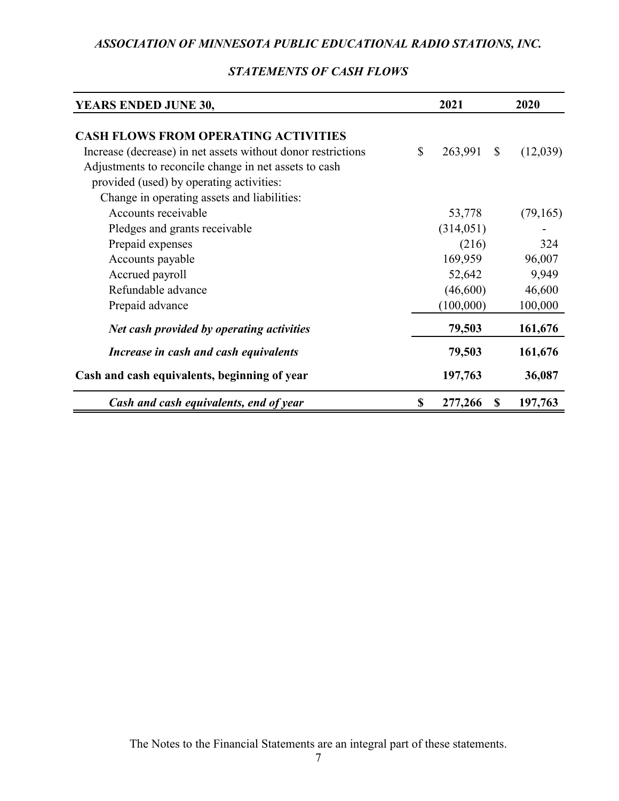| <b>YEARS ENDED JUNE 30,</b>                                  |   | 2021                     |          |  |
|--------------------------------------------------------------|---|--------------------------|----------|--|
| <b>CASH FLOWS FROM OPERATING ACTIVITIES</b>                  |   |                          |          |  |
| Increase (decrease) in net assets without donor restrictions | S | 263,991<br>$\mathcal{S}$ | (12,039) |  |
| Adjustments to reconcile change in net assets to cash        |   |                          |          |  |
| provided (used) by operating activities:                     |   |                          |          |  |
| Change in operating assets and liabilities:                  |   |                          |          |  |
| Accounts receivable                                          |   | 53,778                   | (79,165) |  |
| Pledges and grants receivable                                |   | (314, 051)               |          |  |
| Prepaid expenses                                             |   | (216)                    | 324      |  |
| Accounts payable                                             |   | 169,959                  | 96,007   |  |
| Accrued payroll                                              |   | 52,642                   | 9,949    |  |
| Refundable advance                                           |   | (46,600)                 | 46,600   |  |
| Prepaid advance                                              |   | (100,000)                | 100,000  |  |
| Net cash provided by operating activities                    |   | 79,503                   | 161,676  |  |
| Increase in cash and cash equivalents                        |   | 79,503                   | 161,676  |  |
| Cash and cash equivalents, beginning of year                 |   | 197,763                  | 36,087   |  |
| Cash and cash equivalents, end of year                       | S | 277,266<br>$\mathbf S$   | 197,763  |  |

## *STATEMENTS OF CASH FLOWS*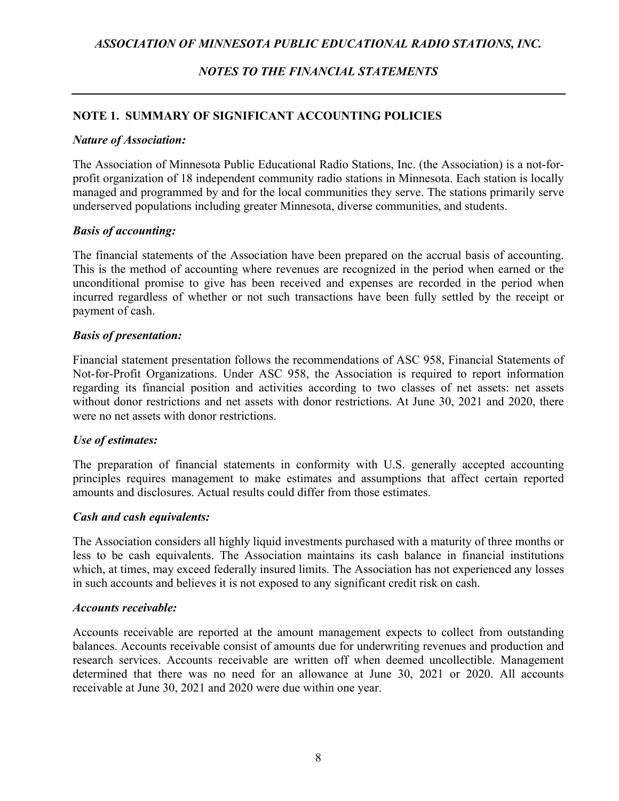## **NOTE 1. SUMMARY OF SIGNIFICANT ACCOUNTING POLICIES**

## *Nature of Association:*

The Association of Minnesota Public Educational Radio Stations, Inc. (the Association) is a not-forprofit organization of 18 independent community radio stations in Minnesota. Each station is locally managed and programmed by and for the local communities they serve. The stations primarily serve underserved populations including greater Minnesota, diverse communities, and students.

## *Basis of accounting:*

The financial statements of the Association have been prepared on the accrual basis of accounting. This is the method of accounting where revenues are recognized in the period when earned or the unconditional promise to give has been received and expenses are recorded in the period when incurred regardless of whether or not such transactions have been fully settled by the receipt or payment of cash.

## *Basis of presentation:*

Financial statement presentation follows the recommendations of ASC 958, Financial Statements of Not-for-Profit Organizations. Under ASC 958, the Association is required to report information regarding its financial position and activities according to two classes of net assets: net assets without donor restrictions and net assets with donor restrictions. At June 30, 2021 and 2020, there were no net assets with donor restrictions.

## *Use of estimates:*

The preparation of financial statements in conformity with U.S. generally accepted accounting principles requires management to make estimates and assumptions that affect certain reported amounts and disclosures. Actual results could differ from those estimates.

## *Cash and cash equivalents:*

The Association considers all highly liquid investments purchased with a maturity of three months or less to be cash equivalents. The Association maintains its cash balance in financial institutions which, at times, may exceed federally insured limits. The Association has not experienced any losses in such accounts and believes it is not exposed to any significant credit risk on cash.

## *Accounts receivable:*

Accounts receivable are reported at the amount management expects to collect from outstanding balances. Accounts receivable consist of amounts due for underwriting revenues and production and research services. Accounts receivable are written off when deemed uncollectible. Management determined that there was no need for an allowance at June 30, 2021 or 2020. All accounts receivable at June 30, 2021 and 2020 were due within one year.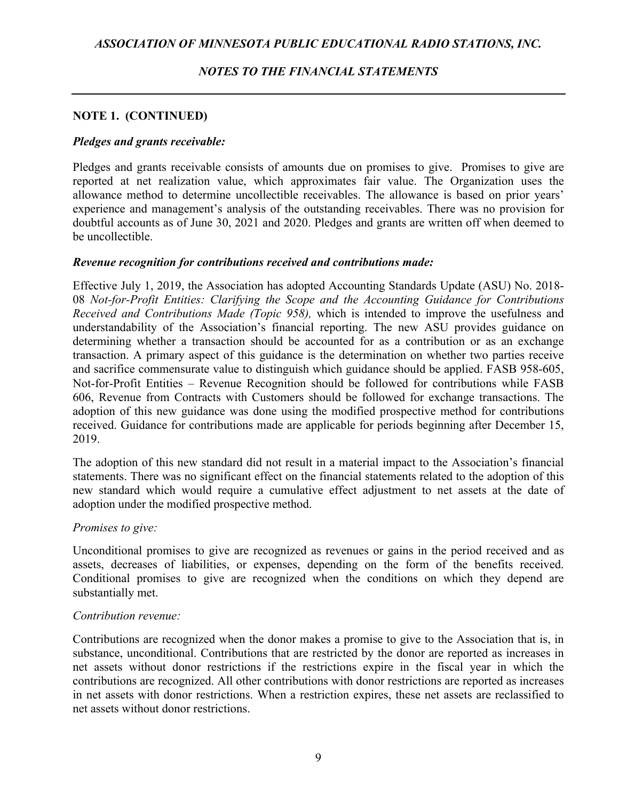## *NOTES TO THE FINANCIAL STATEMENTS*

## **NOTE 1. (CONTINUED)**

### *Pledges and grants receivable:*

Pledges and grants receivable consists of amounts due on promises to give. Promises to give are reported at net realization value, which approximates fair value. The Organization uses the allowance method to determine uncollectible receivables. The allowance is based on prior years' experience and management's analysis of the outstanding receivables. There was no provision for doubtful accounts as of June 30, 2021 and 2020. Pledges and grants are written off when deemed to be uncollectible.

#### *Revenue recognition for contributions received and contributions made:*

Effective July 1, 2019, the Association has adopted Accounting Standards Update (ASU) No. 2018- 08 *Not-for-Profit Entities: Clarifying the Scope and the Accounting Guidance for Contributions Received and Contributions Made (Topic 958),* which is intended to improve the usefulness and understandability of the Association's financial reporting. The new ASU provides guidance on determining whether a transaction should be accounted for as a contribution or as an exchange transaction. A primary aspect of this guidance is the determination on whether two parties receive and sacrifice commensurate value to distinguish which guidance should be applied. FASB 958-605, Not-for-Profit Entities – Revenue Recognition should be followed for contributions while FASB 606, Revenue from Contracts with Customers should be followed for exchange transactions. The adoption of this new guidance was done using the modified prospective method for contributions received. Guidance for contributions made are applicable for periods beginning after December 15, 2019.

The adoption of this new standard did not result in a material impact to the Association's financial statements. There was no significant effect on the financial statements related to the adoption of this new standard which would require a cumulative effect adjustment to net assets at the date of adoption under the modified prospective method.

#### *Promises to give:*

Unconditional promises to give are recognized as revenues or gains in the period received and as assets, decreases of liabilities, or expenses, depending on the form of the benefits received. Conditional promises to give are recognized when the conditions on which they depend are substantially met.

#### *Contribution revenue:*

Contributions are recognized when the donor makes a promise to give to the Association that is, in substance, unconditional. Contributions that are restricted by the donor are reported as increases in net assets without donor restrictions if the restrictions expire in the fiscal year in which the contributions are recognized. All other contributions with donor restrictions are reported as increases in net assets with donor restrictions. When a restriction expires, these net assets are reclassified to net assets without donor restrictions.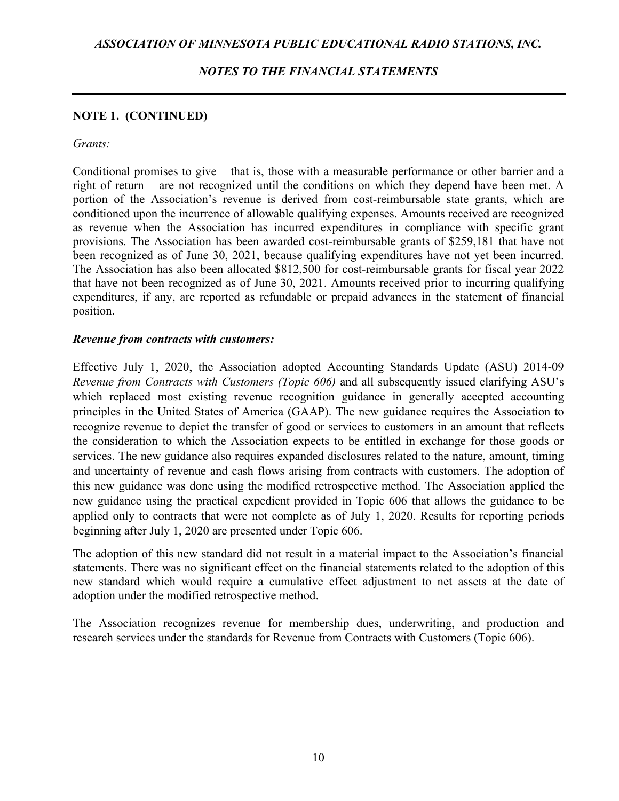## **NOTE 1. (CONTINUED)**

### *Grants:*

Conditional promises to give – that is, those with a measurable performance or other barrier and a right of return – are not recognized until the conditions on which they depend have been met. A portion of the Association's revenue is derived from cost-reimbursable state grants, which are conditioned upon the incurrence of allowable qualifying expenses. Amounts received are recognized as revenue when the Association has incurred expenditures in compliance with specific grant provisions. The Association has been awarded cost-reimbursable grants of \$259,181 that have not been recognized as of June 30, 2021, because qualifying expenditures have not yet been incurred. The Association has also been allocated \$812,500 for cost-reimbursable grants for fiscal year 2022 that have not been recognized as of June 30, 2021. Amounts received prior to incurring qualifying expenditures, if any, are reported as refundable or prepaid advances in the statement of financial position.

## *Revenue from contracts with customers:*

Effective July 1, 2020, the Association adopted Accounting Standards Update (ASU) 2014-09 *Revenue from Contracts with Customers (Topic 606)* and all subsequently issued clarifying ASU's which replaced most existing revenue recognition guidance in generally accepted accounting principles in the United States of America (GAAP). The new guidance requires the Association to recognize revenue to depict the transfer of good or services to customers in an amount that reflects the consideration to which the Association expects to be entitled in exchange for those goods or services. The new guidance also requires expanded disclosures related to the nature, amount, timing and uncertainty of revenue and cash flows arising from contracts with customers. The adoption of this new guidance was done using the modified retrospective method. The Association applied the new guidance using the practical expedient provided in Topic 606 that allows the guidance to be applied only to contracts that were not complete as of July 1, 2020. Results for reporting periods beginning after July 1, 2020 are presented under Topic 606.

The adoption of this new standard did not result in a material impact to the Association's financial statements. There was no significant effect on the financial statements related to the adoption of this new standard which would require a cumulative effect adjustment to net assets at the date of adoption under the modified retrospective method.

The Association recognizes revenue for membership dues, underwriting, and production and research services under the standards for Revenue from Contracts with Customers (Topic 606).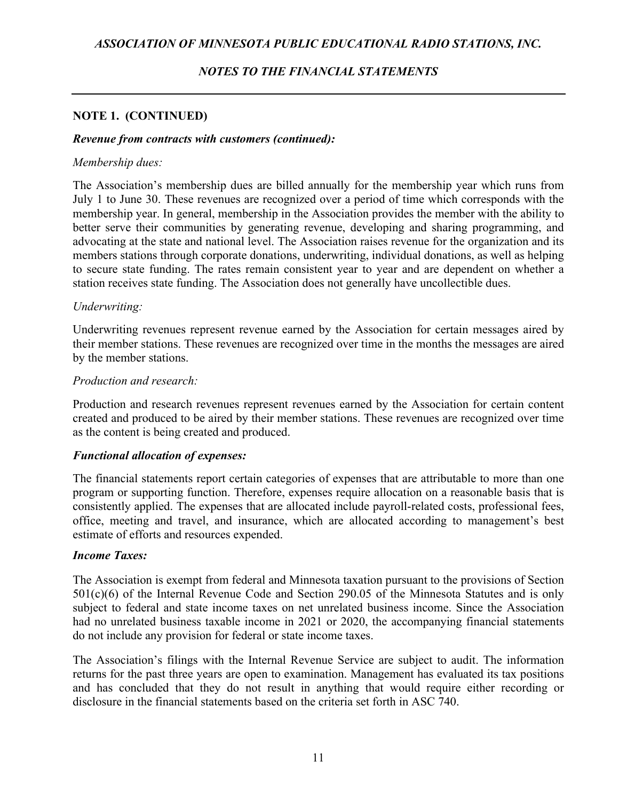## **NOTE 1. (CONTINUED)**

### *Revenue from contracts with customers (continued):*

#### *Membership dues:*

The Association's membership dues are billed annually for the membership year which runs from July 1 to June 30. These revenues are recognized over a period of time which corresponds with the membership year. In general, membership in the Association provides the member with the ability to better serve their communities by generating revenue, developing and sharing programming, and advocating at the state and national level. The Association raises revenue for the organization and its members stations through corporate donations, underwriting, individual donations, as well as helping to secure state funding. The rates remain consistent year to year and are dependent on whether a station receives state funding. The Association does not generally have uncollectible dues.

#### *Underwriting:*

Underwriting revenues represent revenue earned by the Association for certain messages aired by their member stations. These revenues are recognized over time in the months the messages are aired by the member stations.

## *Production and research:*

Production and research revenues represent revenues earned by the Association for certain content created and produced to be aired by their member stations. These revenues are recognized over time as the content is being created and produced.

## *Functional allocation of expenses:*

The financial statements report certain categories of expenses that are attributable to more than one program or supporting function. Therefore, expenses require allocation on a reasonable basis that is consistently applied. The expenses that are allocated include payroll-related costs, professional fees, office, meeting and travel, and insurance, which are allocated according to management's best estimate of efforts and resources expended.

#### *Income Taxes:*

The Association is exempt from federal and Minnesota taxation pursuant to the provisions of Section 501(c)(6) of the Internal Revenue Code and Section 290.05 of the Minnesota Statutes and is only subject to federal and state income taxes on net unrelated business income. Since the Association had no unrelated business taxable income in 2021 or 2020, the accompanying financial statements do not include any provision for federal or state income taxes.

The Association's filings with the Internal Revenue Service are subject to audit. The information returns for the past three years are open to examination. Management has evaluated its tax positions and has concluded that they do not result in anything that would require either recording or disclosure in the financial statements based on the criteria set forth in ASC 740.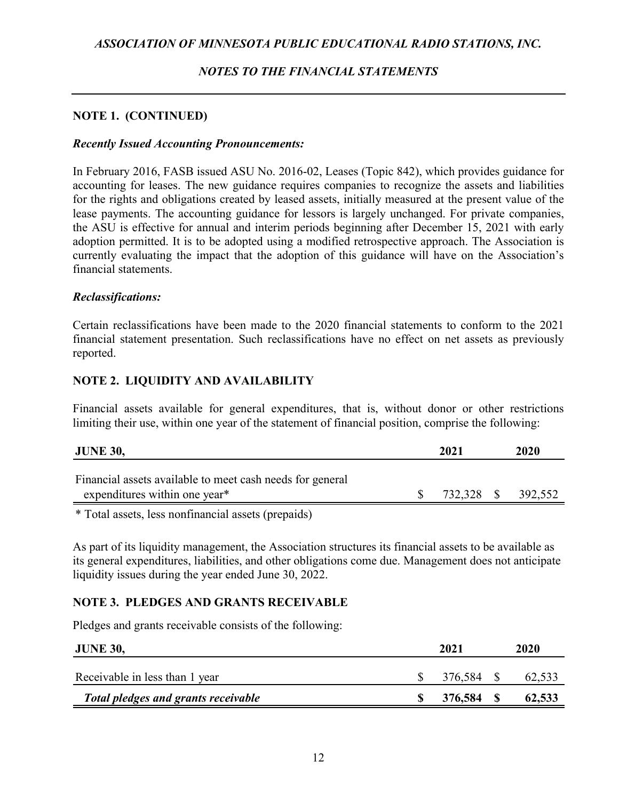## **NOTE 1. (CONTINUED)**

### *Recently Issued Accounting Pronouncements:*

In February 2016, FASB issued ASU No. 2016-02, Leases (Topic 842), which provides guidance for accounting for leases. The new guidance requires companies to recognize the assets and liabilities for the rights and obligations created by leased assets, initially measured at the present value of the lease payments. The accounting guidance for lessors is largely unchanged. For private companies, the ASU is effective for annual and interim periods beginning after December 15, 2021 with early adoption permitted. It is to be adopted using a modified retrospective approach. The Association is currently evaluating the impact that the adoption of this guidance will have on the Association's financial statements.

#### *Reclassifications:*

Certain reclassifications have been made to the 2020 financial statements to conform to the 2021 financial statement presentation. Such reclassifications have no effect on net assets as previously reported.

## **NOTE 2. LIQUIDITY AND AVAILABILITY**

Financial assets available for general expenditures, that is, without donor or other restrictions limiting their use, within one year of the statement of financial position, comprise the following:

| <b>JUNE 30,</b>                                                                                                                                                                                                                                                                                                                                                                                                                                                                                                                       |  |  | 2021 |                    |
|---------------------------------------------------------------------------------------------------------------------------------------------------------------------------------------------------------------------------------------------------------------------------------------------------------------------------------------------------------------------------------------------------------------------------------------------------------------------------------------------------------------------------------------|--|--|------|--------------------|
| Financial assets available to meet cash needs for general                                                                                                                                                                                                                                                                                                                                                                                                                                                                             |  |  |      |                    |
| expenditures within one year*                                                                                                                                                                                                                                                                                                                                                                                                                                                                                                         |  |  |      | 732,328 \$ 392,552 |
| $\begin{array}{cccccccccccccccccc} \textcolor{red}{\textbf{w}} & \textcolor{red}{\textbf{w}} & \textcolor{red}{\textbf{w}} & \textcolor{red}{\textbf{w}} & \textcolor{red}{\textbf{w}} & \textcolor{red}{\textbf{w}} & \textcolor{red}{\textbf{w}} & \textcolor{red}{\textbf{w}} & \textcolor{red}{\textbf{w}} & \textcolor{red}{\textbf{w}} & \textcolor{red}{\textbf{w}} & \textcolor{red}{\textbf{w}} & \textcolor{red}{\textbf{w}} & \textcolor{red}{\textbf{w}} & \textcolor{red}{\textbf{w}} & \textcolor{red}{\textbf{w}} & \$ |  |  |      |                    |

\* Total assets, less nonfinancial assets (prepaids)

As part of its liquidity management, the Association structures its financial assets to be available as its general expenditures, liabilities, and other obligations come due. Management does not anticipate liquidity issues during the year ended June 30, 2022.

## **NOTE 3. PLEDGES AND GRANTS RECEIVABLE**

Pledges and grants receivable consists of the following:

| <b>JUNE 30,</b>                            |     | 2021       | 2020   |  |  |
|--------------------------------------------|-----|------------|--------|--|--|
| Receivable in less than 1 year             |     | 376.584 S  | 62,533 |  |  |
| <b>Total pledges and grants receivable</b> | -SS | 376,584 \$ | 62,533 |  |  |